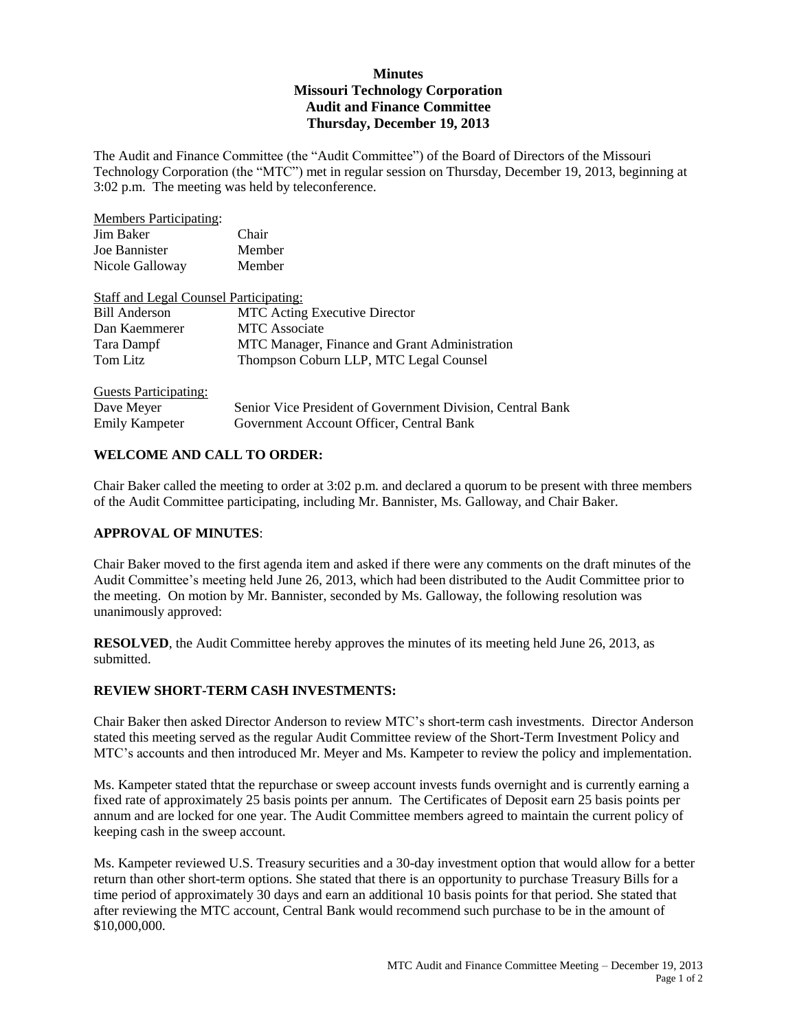## **Minutes Missouri Technology Corporation Audit and Finance Committee Thursday, December 19, 2013**

The Audit and Finance Committee (the "Audit Committee") of the Board of Directors of the Missouri Technology Corporation (the "MTC") met in regular session on Thursday, December 19, 2013, beginning at 3:02 p.m. The meeting was held by teleconference.

| <b>Members Participating:</b>                 |                                                            |
|-----------------------------------------------|------------------------------------------------------------|
| Jim Baker                                     | Chair                                                      |
| Joe Bannister                                 | Member                                                     |
| Nicole Galloway                               | Member                                                     |
| <b>Staff and Legal Counsel Participating:</b> |                                                            |
| <b>Bill Anderson</b>                          | <b>MTC</b> Acting Executive Director                       |
| Dan Kaemmerer                                 | <b>MTC</b> Associate                                       |
| Tara Dampf                                    | MTC Manager, Finance and Grant Administration              |
| Tom Litz                                      | Thompson Coburn LLP, MTC Legal Counsel                     |
| Guests Participating:                         |                                                            |
| Dave Meyer                                    | Senior Vice President of Government Division, Central Bank |
| <b>Emily Kampeter</b>                         | Government Account Officer, Central Bank                   |

## **WELCOME AND CALL TO ORDER:**

Chair Baker called the meeting to order at 3:02 p.m. and declared a quorum to be present with three members of the Audit Committee participating, including Mr. Bannister, Ms. Galloway, and Chair Baker.

#### **APPROVAL OF MINUTES**:

Chair Baker moved to the first agenda item and asked if there were any comments on the draft minutes of the Audit Committee's meeting held June 26, 2013, which had been distributed to the Audit Committee prior to the meeting. On motion by Mr. Bannister, seconded by Ms. Galloway, the following resolution was unanimously approved:

**RESOLVED**, the Audit Committee hereby approves the minutes of its meeting held June 26, 2013, as submitted.

#### **REVIEW SHORT-TERM CASH INVESTMENTS:**

Chair Baker then asked Director Anderson to review MTC's short-term cash investments. Director Anderson stated this meeting served as the regular Audit Committee review of the Short-Term Investment Policy and MTC's accounts and then introduced Mr. Meyer and Ms. Kampeter to review the policy and implementation.

Ms. Kampeter stated thtat the repurchase or sweep account invests funds overnight and is currently earning a fixed rate of approximately 25 basis points per annum. The Certificates of Deposit earn 25 basis points per annum and are locked for one year. The Audit Committee members agreed to maintain the current policy of keeping cash in the sweep account.

Ms. Kampeter reviewed U.S. Treasury securities and a 30-day investment option that would allow for a better return than other short-term options. She stated that there is an opportunity to purchase Treasury Bills for a time period of approximately 30 days and earn an additional 10 basis points for that period. She stated that after reviewing the MTC account, Central Bank would recommend such purchase to be in the amount of \$10,000,000.